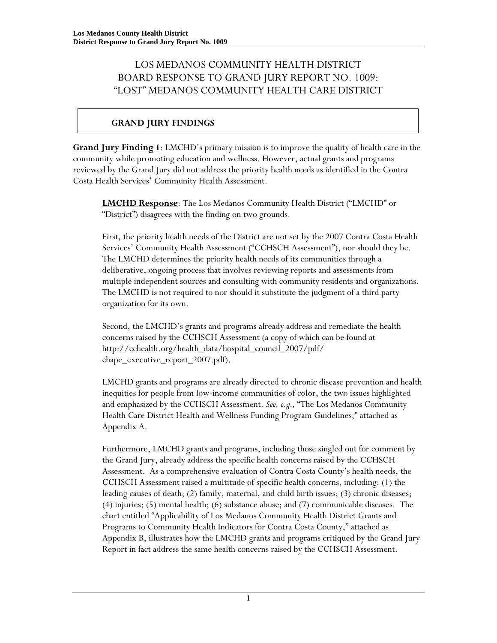# LOS MEDANOS COMMUNITY HEALTH DISTRICT BOARD RESPONSE TO GRAND JURY REPORT NO. 1009: "LOST" MEDANOS COMMUNITY HEALTH CARE DISTRICT

# **GRAND JURY FINDINGS**

**Grand Jury Finding 1**: LMCHD's primary mission is to improve the quality of health care in the community while promoting education and wellness. However, actual grants and programs reviewed by the Grand Jury did not address the priority health needs as identified in the Contra Costa Health Services' Community Health Assessment.

**LMCHD Response**: The Los Medanos Community Health District ("LMCHD" or "District") disagrees with the finding on two grounds.

First, the priority health needs of the District are not set by the 2007 Contra Costa Health Services' Community Health Assessment ("CCHSCH Assessment"), nor should they be. The LMCHD determines the priority health needs of its communities through a deliberative, ongoing process that involves reviewing reports and assessments from multiple independent sources and consulting with community residents and organizations. The LMCHD is not required to nor should it substitute the judgment of a third party organization for its own.

Second, the LMCHD's grants and programs already address and remediate the health concerns raised by the CCHSCH Assessment (a copy of which can be found at http://cchealth.org/health\_data/hospital\_council\_2007/pdf/ chape\_executive\_report\_2007.pdf).

LMCHD grants and programs are already directed to chronic disease prevention and health inequities for people from low-income communities of color, the two issues highlighted and emphasized by the CCHSCH Assessment. *See, e.g.,* "The Los Medanos Community Health Care District Health and Wellness Funding Program Guidelines," attached as Appendix A.

Furthermore, LMCHD grants and programs, including those singled out for comment by the Grand Jury, already address the specific health concerns raised by the CCHSCH Assessment. As a comprehensive evaluation of Contra Costa County's health needs, the CCHSCH Assessment raised a multitude of specific health concerns, including: (1) the leading causes of death; (2) family, maternal, and child birth issues; (3) chronic diseases; (4) injuries; (5) mental health; (6) substance abuse; and (7) communicable diseases. The chart entitled "Applicability of Los Medanos Community Health District Grants and Programs to Community Health Indicators for Contra Costa County," attached as Appendix B, illustrates how the LMCHD grants and programs critiqued by the Grand Jury Report in fact address the same health concerns raised by the CCHSCH Assessment.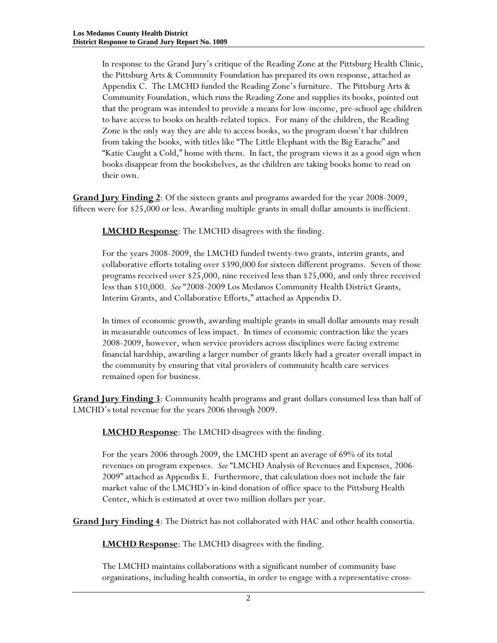In response to the Grand Jury's critique of the Reading Zone at the Pittsburg Health Clinic, the Pittsburg Arts & Community Foundation has prepared its own response, attached as Appendix C. The LMCHD funded the Reading Zone's furniture. The Pittsburg Arts & Community Foundation, which runs the Reading Zone and supplies its books, pointed out that the program was intended to provide a means for low-income, pre-school age children to have access to books on health-related topics. For many of the children, the Reading Zone is the only way they are able to access books, so the program doesn't bar children from taking the books, with titles like "The Little Elephant with the Big Earache" and "Katie Caught a Cold," home with them. In fact, the program views it as a good sign when books disappear from the bookshelves, as the children are taking books home to read on their own.

**Grand Jury Finding 2**: Of the sixteen grants and programs awarded for the year 2008-2009, fifteen were for \$25,000 or less. Awarding multiple grants in small dollar amounts is inefficient.

**LMCHD Response**: The LMCHD disagrees with the finding.

For the years 2008-2009, the LMCHD funded twenty-two grants, interim grants, and collaborative efforts totaling over \$390,000 for sixteen different programs. Seven of those programs received over \$25,000, nine received less than \$25,000, and only three received less than \$10,000. *See* "2008-2009 Los Medanos Community Health District Grants, Interim Grants, and Collaborative Efforts," attached as Appendix D.

In times of economic growth, awarding multiple grants in small dollar amounts may result in measurable outcomes of less impact. In times of economic contraction like the years 2008-2009, however, when service providers across disciplines were facing extreme financial hardship, awarding a larger number of grants likely had a greater overall impact in the community by ensuring that vital providers of community health care services remained open for business.

**Grand Jury Finding 3**: Community health programs and grant dollars consumed less than half of LMCHD's total revenue for the years 2006 through 2009.

**LMCHD Response**: The LMCHD disagrees with the finding.

For the years 2006 through 2009, the LMCHD spent an average of 69% of its total revenues on program expenses. *See* "LMCHD Analysis of Revenues and Expenses, 2006- 2009" attached as Appendix E. Furthermore, that calculation does not include the fair market value of the LMCHD's in-kind donation of office space to the Pittsburg Health Center, which is estimated at over two million dollars per year.

**Grand Jury Finding 4**: The District has not collaborated with HAC and other health consortia.

**LMCHD Response**: The LMCHD disagrees with the finding.

The LMCHD maintains collaborations with a significant number of community base organizations, including health consortia, in order to engage with a representative cross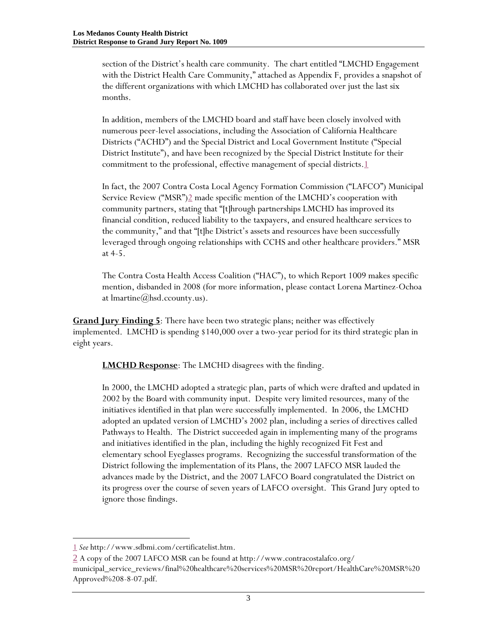section of the District's health care community. The chart entitled "LMCHD Engagement with the District Health Care Community," attached as Appendix F, provides a snapshot of the different organizations with which LMCHD has collaborated over just the last six months.

In addition, members of the LMCHD board and staff have been closely involved with numerous peer-level associations, including the Association of California Healthcare Districts ("ACHD") and the Special District and Local Government Institute ("Special District Institute"), and have been recognized by the Special District Institute for their commitment to the professional, effective management of special districts.<sup>1</sup>

In fact, the 2007 Contra Costa Local Agency Formation Commission ("LAFCO") Municipal Service Review ("MSR")2 made specific mention of the LMCHD's cooperation with community partners, stating that "[t]hrough partnerships LMCHD has improved its financial condition, reduced liability to the taxpayers, and ensured healthcare services to the community," and that "[t]he District's assets and resources have been successfully leveraged through ongoing relationships with CCHS and other healthcare providers." MSR at 4-5.

The Contra Costa Health Access Coalition ("HAC"), to which Report 1009 makes specific mention, disbanded in 2008 (for more information, please contact Lorena Martinez-Ochoa at lmartine@hsd.ccounty.us).

**Grand Jury Finding 5**: There have been two strategic plans; neither was effectively implemented. LMCHD is spending \$140,000 over a two-year period for its third strategic plan in eight years.

**LMCHD Response**: The LMCHD disagrees with the finding.

In 2000, the LMCHD adopted a strategic plan, parts of which were drafted and updated in 2002 by the Board with community input. Despite very limited resources, many of the initiatives identified in that plan were successfully implemented. In 2006, the LMCHD adopted an updated version of LMCHD's 2002 plan, including a series of directives called Pathways to Health. The District succeeded again in implementing many of the programs and initiatives identified in the plan, including the highly recognized Fit Fest and elementary school Eyeglasses programs. Recognizing the successful transformation of the District following the implementation of its Plans, the 2007 LAFCO MSR lauded the advances made by the District, and the 2007 LAFCO Board congratulated the District on its progress over the course of seven years of LAFCO oversight. This Grand Jury opted to ignore those findings.

 $\overline{a}$ 

<sup>1</sup> *See* http://www.sdbmi.com/certificatelist.htm.

<sup>2</sup> A copy of the 2007 LAFCO MSR can be found at http://www.contracostalafco.org/ municipal\_service\_reviews/final%20healthcare%20services%20MSR%20report/HealthCare%20MSR%20 Approved%208-8-07.pdf.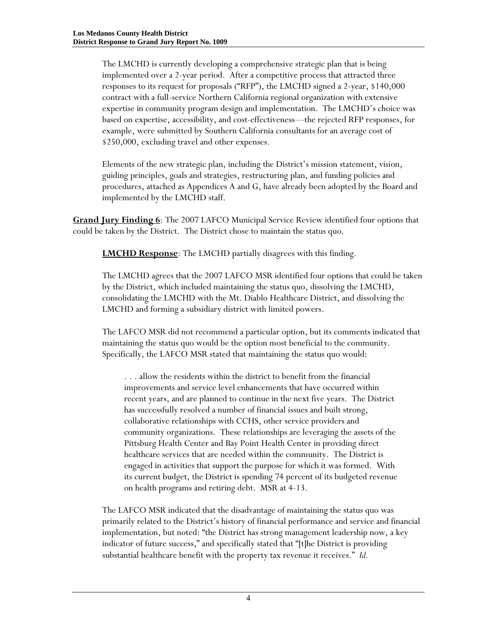The LMCHD is currently developing a comprehensive strategic plan that is being implemented over a 2-year period. After a competitive process that attracted three responses to its request for proposals ("RFP"), the LMCHD signed a 2-year, \$140,000 contract with a full-service Northern California regional organization with extensive expertise in community program design and implementation. The LMCHD's choice was based on expertise, accessibility, and cost-effectiveness—the rejected RFP responses, for example, were submitted by Southern California consultants for an average cost of \$250,000, excluding travel and other expenses.

Elements of the new strategic plan, including the District's mission statement, vision, guiding principles, goals and strategies, restructuring plan, and funding policies and procedures, attached as Appendices A and G, have already been adopted by the Board and implemented by the LMCHD staff.

**Grand Jury Finding 6**: The 2007 LAFCO Municipal Service Review identified four options that could be taken by the District. The District chose to maintain the status quo.

**LMCHD Response**: The LMCHD partially disagrees with this finding.

The LMCHD agrees that the 2007 LAFCO MSR identified four options that could be taken by the District, which included maintaining the status quo, dissolving the LMCHD, consolidating the LMCHD with the Mt. Diablo Healthcare District, and dissolving the LMCHD and forming a subsidiary district with limited powers.

The LAFCO MSR did not recommend a particular option, but its comments indicated that maintaining the status quo would be the option most beneficial to the community. Specifically, the LAFCO MSR stated that maintaining the status quo would:

. . . allow the residents within the district to benefit from the financial improvements and service level enhancements that have occurred within recent years, and are planned to continue in the next five years. The District has successfully resolved a number of financial issues and built strong, collaborative relationships with CCHS, other service providers and community organizations. These relationships are leveraging the assets of the Pittsburg Health Center and Bay Point Health Center in providing direct healthcare services that are needed within the community. The District is engaged in activities that support the purpose for which it was formed. With its current budget, the District is spending 74 percent of its budgeted revenue on health programs and retiring debt. MSR at 4-13.

The LAFCO MSR indicated that the disadvantage of maintaining the status quo was primarily related to the District's history of financial performance and service and financial implementation, but noted: "the District has strong management leadership now, a key indicator of future success," and specifically stated that "[t]he District is providing substantial healthcare benefit with the property tax revenue it receives." *Id.*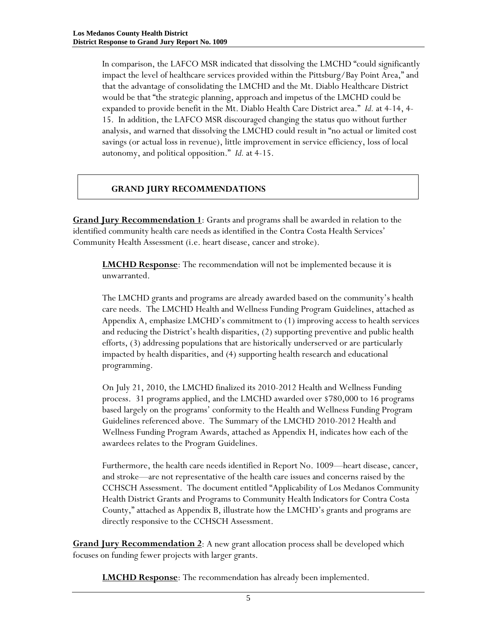In comparison, the LAFCO MSR indicated that dissolving the LMCHD "could significantly impact the level of healthcare services provided within the Pittsburg/Bay Point Area," and that the advantage of consolidating the LMCHD and the Mt. Diablo Healthcare District would be that "the strategic planning, approach and impetus of the LMCHD could be expanded to provide benefit in the Mt. Diablo Health Care District area." *Id.* at 4-14, 4- 15. In addition, the LAFCO MSR discouraged changing the status quo without further analysis, and warned that dissolving the LMCHD could result in "no actual or limited cost savings (or actual loss in revenue), little improvement in service efficiency, loss of local autonomy, and political opposition." *Id.* at 4-15.

### **GRAND JURY RECOMMENDATIONS**

**Grand Jury Recommendation 1**: Grants and programs shall be awarded in relation to the identified community health care needs as identified in the Contra Costa Health Services' Community Health Assessment (i.e. heart disease, cancer and stroke).

**LMCHD Response**: The recommendation will not be implemented because it is unwarranted.

The LMCHD grants and programs are already awarded based on the community's health care needs. The LMCHD Health and Wellness Funding Program Guidelines, attached as Appendix A, emphasize LMCHD's commitment to (1) improving access to health services and reducing the District's health disparities, (2) supporting preventive and public health efforts, (3) addressing populations that are historically underserved or are particularly impacted by health disparities, and (4) supporting health research and educational programming.

On July 21, 2010, the LMCHD finalized its 2010-2012 Health and Wellness Funding process. 31 programs applied, and the LMCHD awarded over \$780,000 to 16 programs based largely on the programs' conformity to the Health and Wellness Funding Program Guidelines referenced above. The Summary of the LMCHD 2010-2012 Health and Wellness Funding Program Awards, attached as Appendix H, indicates how each of the awardees relates to the Program Guidelines.

Furthermore, the health care needs identified in Report No. 1009—heart disease, cancer, and stroke—are not representative of the health care issues and concerns raised by the CCHSCH Assessment. The document entitled "Applicability of Los Medanos Community Health District Grants and Programs to Community Health Indicators for Contra Costa County," attached as Appendix B, illustrate how the LMCHD's grants and programs are directly responsive to the CCHSCH Assessment.

**Grand Jury Recommendation 2**: A new grant allocation process shall be developed which focuses on funding fewer projects with larger grants.

**LMCHD Response**: The recommendation has already been implemented.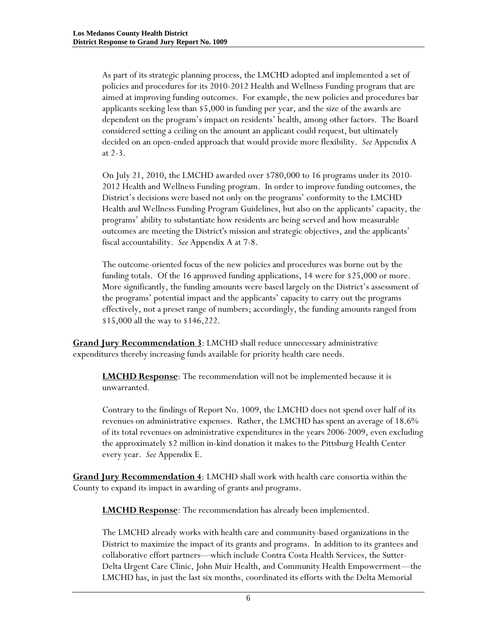As part of its strategic planning process, the LMCHD adopted and implemented a set of policies and procedures for its 2010-2012 Health and Wellness Funding program that are aimed at improving funding outcomes. For example, the new policies and procedures bar applicants seeking less than \$5,000 in funding per year, and the size of the awards are dependent on the program's impact on residents' health, among other factors. The Board considered setting a ceiling on the amount an applicant could request, but ultimately decided on an open-ended approach that would provide more flexibility. *See* Appendix A at 2-3.

On July 21, 2010, the LMCHD awarded over \$780,000 to 16 programs under its 2010- 2012 Health and Wellness Funding program. In order to improve funding outcomes, the District's decisions were based not only on the programs' conformity to the LMCHD Health and Wellness Funding Program Guidelines, but also on the applicants' capacity, the programs' ability to substantiate how residents are being served and how measurable outcomes are meeting the District's mission and strategic objectives, and the applicants' fiscal accountability. *See* Appendix A at 7-8.

The outcome-oriented focus of the new policies and procedures was borne out by the funding totals. Of the 16 approved funding applications, 14 were for \$25,000 or more. More significantly, the funding amounts were based largely on the District's assessment of the programs' potential impact and the applicants' capacity to carry out the programs effectively, not a preset range of numbers; accordingly, the funding amounts ranged from \$15,000 all the way to \$146,222.

**Grand Jury Recommendation 3**: LMCHD shall reduce unnecessary administrative expenditures thereby increasing funds available for priority health care needs.

**LMCHD Response**: The recommendation will not be implemented because it is unwarranted.

Contrary to the findings of Report No. 1009, the LMCHD does not spend over half of its revenues on administrative expenses. Rather, the LMCHD has spent an average of 18.6% of its total revenues on administrative expenditures in the years 2006-2009, even excluding the approximately \$2 million in-kind donation it makes to the Pittsburg Health Center every year. *See* Appendix E.

**Grand Jury Recommendation 4**: LMCHD shall work with health care consortia within the County to expand its impact in awarding of grants and programs.

**LMCHD Response**: The recommendation has already been implemented.

The LMCHD already works with health care and community-based organizations in the District to maximize the impact of its grants and programs. In addition to its grantees and collaborative effort partners—which include Contra Costa Health Services, the Sutter-Delta Urgent Care Clinic, John Muir Health, and Community Health Empowerment—the LMCHD has, in just the last six months, coordinated its efforts with the Delta Memorial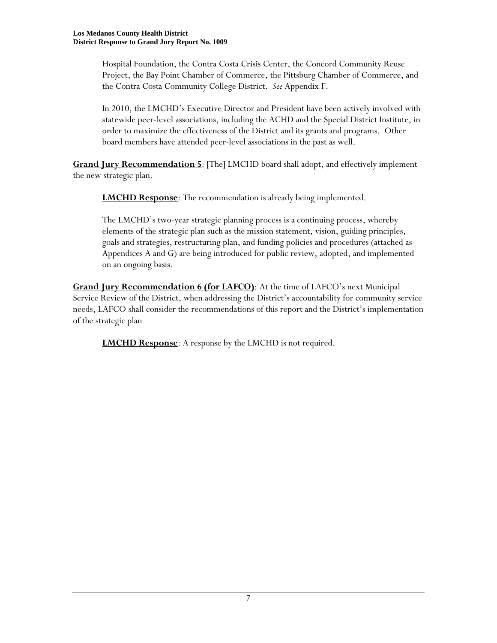Hospital Foundation, the Contra Costa Crisis Center, the Concord Community Reuse Project, the Bay Point Chamber of Commerce, the Pittsburg Chamber of Commerce, and the Contra Costa Community College District. *See* Appendix F.

In 2010, the LMCHD's Executive Director and President have been actively involved with statewide peer-level associations, including the ACHD and the Special District Institute, in order to maximize the effectiveness of the District and its grants and programs. Other board members have attended peer-level associations in the past as well.

**Grand Jury Recommendation 5**: [The] LMCHD board shall adopt, and effectively implement the new strategic plan.

**LMCHD Response**: The recommendation is already being implemented.

The LMCHD's two-year strategic planning process is a continuing process, whereby elements of the strategic plan such as the mission statement, vision, guiding principles, goals and strategies, restructuring plan, and funding policies and procedures (attached as Appendices A and G) are being introduced for public review, adopted, and implemented on an ongoing basis.

**Grand Jury Recommendation 6 (for LAFCO)**: At the time of LAFCO's next Municipal Service Review of the District, when addressing the District's accountability for community service needs, LAFCO shall consider the recommendations of this report and the District's implementation of the strategic plan

**LMCHD Response**: A response by the LMCHD is not required.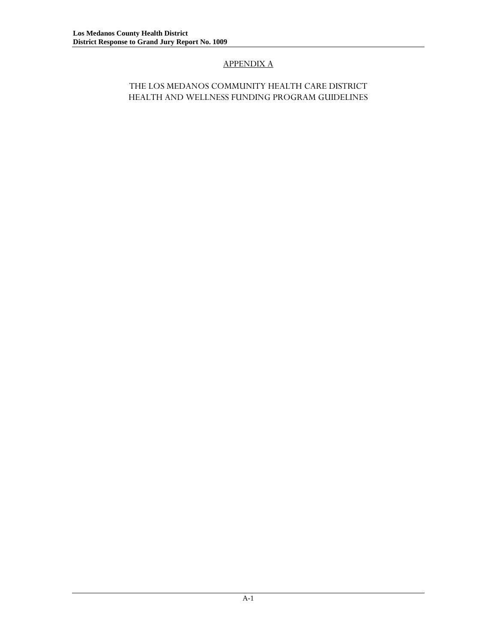# APPENDIX A

### THE LOS MEDANOS COMMUNITY HEALTH CARE DISTRICT HEALTH AND WELLNESS FUNDING PROGRAM GUIDELINES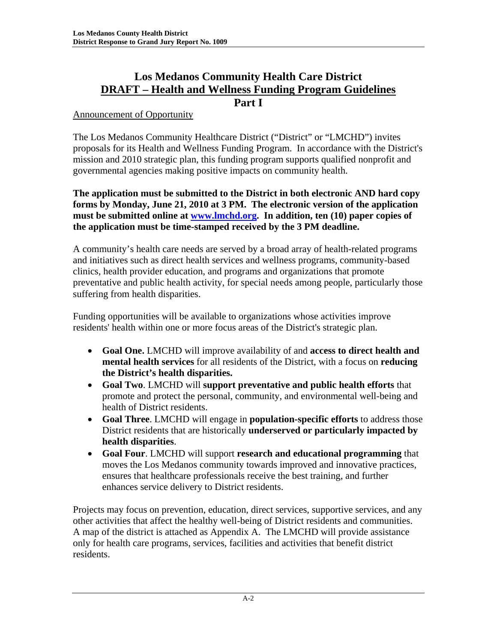# **Los Medanos Community Health Care District DRAFT – Health and Wellness Funding Program Guidelines Part I**

# Announcement of Opportunity

The Los Medanos Community Healthcare District ("District" or "LMCHD") invites proposals for its Health and Wellness Funding Program. In accordance with the District's mission and 2010 strategic plan, this funding program supports qualified nonprofit and governmental agencies making positive impacts on community health.

**The application must be submitted to the District in both electronic AND hard copy forms by Monday, June 21, 2010 at 3 PM. The electronic version of the application must be submitted online at www.lmchd.org. In addition, ten (10) paper copies of the application must be time-stamped received by the 3 PM deadline.** 

A community's health care needs are served by a broad array of health-related programs and initiatives such as direct health services and wellness programs, community-based clinics, health provider education, and programs and organizations that promote preventative and public health activity, for special needs among people, particularly those suffering from health disparities.

Funding opportunities will be available to organizations whose activities improve residents' health within one or more focus areas of the District's strategic plan.

- **Goal One.** LMCHD will improve availability of and **access to direct health and mental health services** for all residents of the District, with a focus on **reducing the District's health disparities.**
- **Goal Two**. LMCHD will **support preventative and public health efforts** that promote and protect the personal, community, and environmental well-being and health of District residents.
- **Goal Three**. LMCHD will engage in **population-specific efforts** to address those District residents that are historically **underserved or particularly impacted by health disparities**.
- **Goal Four**. LMCHD will support **research and educational programming** that moves the Los Medanos community towards improved and innovative practices, ensures that healthcare professionals receive the best training, and further enhances service delivery to District residents.

Projects may focus on prevention, education, direct services, supportive services, and any other activities that affect the healthy well-being of District residents and communities. A map of the district is attached as Appendix A. The LMCHD will provide assistance only for health care programs, services, facilities and activities that benefit district residents.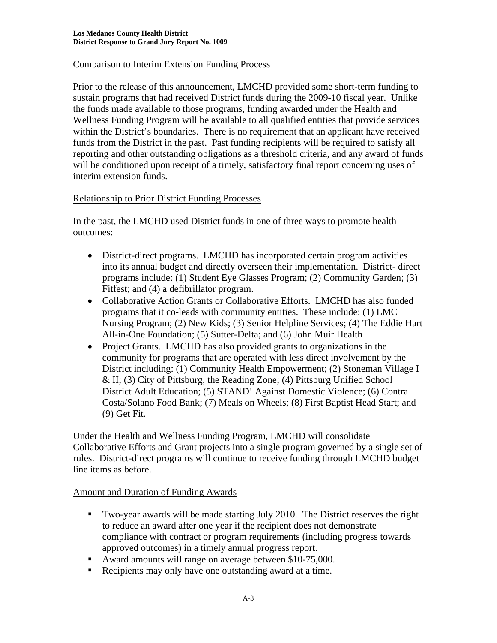# Comparison to Interim Extension Funding Process

Prior to the release of this announcement, LMCHD provided some short-term funding to sustain programs that had received District funds during the 2009-10 fiscal year. Unlike the funds made available to those programs, funding awarded under the Health and Wellness Funding Program will be available to all qualified entities that provide services within the District's boundaries. There is no requirement that an applicant have received funds from the District in the past. Past funding recipients will be required to satisfy all reporting and other outstanding obligations as a threshold criteria, and any award of funds will be conditioned upon receipt of a timely, satisfactory final report concerning uses of interim extension funds.

# Relationship to Prior District Funding Processes

In the past, the LMCHD used District funds in one of three ways to promote health outcomes:

- District-direct programs. LMCHD has incorporated certain program activities into its annual budget and directly overseen their implementation. District- direct programs include: (1) Student Eye Glasses Program; (2) Community Garden; (3) Fitfest; and (4) a defibrillator program.
- Collaborative Action Grants or Collaborative Efforts. LMCHD has also funded programs that it co-leads with community entities. These include: (1) LMC Nursing Program; (2) New Kids; (3) Senior Helpline Services; (4) The Eddie Hart All-in-One Foundation; (5) Sutter-Delta; and (6) John Muir Health
- Project Grants. LMCHD has also provided grants to organizations in the community for programs that are operated with less direct involvement by the District including: (1) Community Health Empowerment; (2) Stoneman Village I & II; (3) City of Pittsburg, the Reading Zone; (4) Pittsburg Unified School District Adult Education; (5) STAND! Against Domestic Violence; (6) Contra Costa/Solano Food Bank; (7) Meals on Wheels; (8) First Baptist Head Start; and (9) Get Fit.

Under the Health and Wellness Funding Program, LMCHD will consolidate Collaborative Efforts and Grant projects into a single program governed by a single set of rules. District-direct programs will continue to receive funding through LMCHD budget line items as before.

# Amount and Duration of Funding Awards

- Two-year awards will be made starting July 2010. The District reserves the right to reduce an award after one year if the recipient does not demonstrate compliance with contract or program requirements (including progress towards approved outcomes) in a timely annual progress report.
- Award amounts will range on average between \$10-75,000.
- Recipients may only have one outstanding award at a time.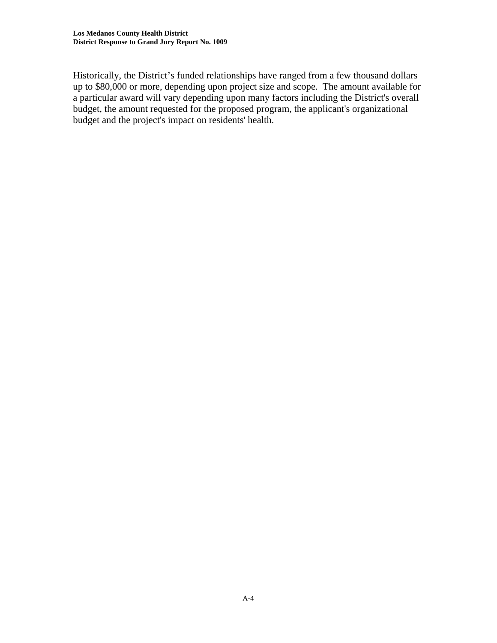Historically, the District's funded relationships have ranged from a few thousand dollars up to \$80,000 or more, depending upon project size and scope. The amount available for a particular award will vary depending upon many factors including the District's overall budget, the amount requested for the proposed program, the applicant's organizational budget and the project's impact on residents' health.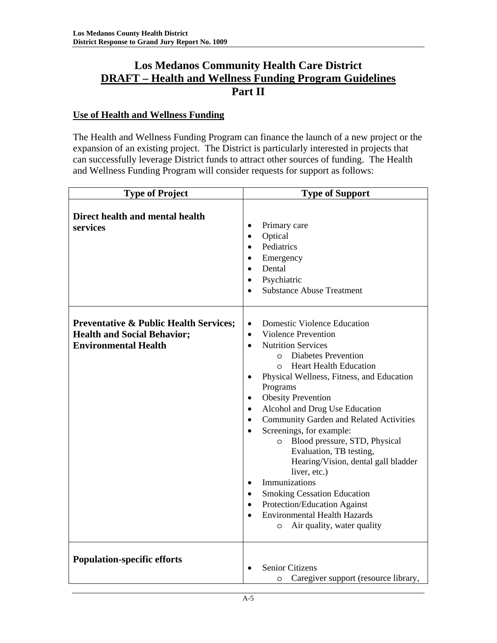# **Los Medanos Community Health Care District DRAFT – Health and Wellness Funding Program Guidelines Part II**

# **Use of Health and Wellness Funding**

The Health and Wellness Funding Program can finance the launch of a new project or the expansion of an existing project. The District is particularly interested in projects that can successfully leverage District funds to attract other sources of funding. The Health and Wellness Funding Program will consider requests for support as follows:

| <b>Type of Project</b>                                                                                                 | <b>Type of Support</b>                                                                                                                                                                                                                                                                                                                                                                                                                                                                                                                                                                                                                                                                                                                                                  |  |
|------------------------------------------------------------------------------------------------------------------------|-------------------------------------------------------------------------------------------------------------------------------------------------------------------------------------------------------------------------------------------------------------------------------------------------------------------------------------------------------------------------------------------------------------------------------------------------------------------------------------------------------------------------------------------------------------------------------------------------------------------------------------------------------------------------------------------------------------------------------------------------------------------------|--|
| Direct health and mental health<br>services                                                                            | Primary care<br>Optical<br>Pediatrics<br>Emergency<br>Dental<br>Psychiatric<br><b>Substance Abuse Treatment</b>                                                                                                                                                                                                                                                                                                                                                                                                                                                                                                                                                                                                                                                         |  |
| <b>Preventative &amp; Public Health Services;</b><br><b>Health and Social Behavior;</b><br><b>Environmental Health</b> | <b>Domestic Violence Education</b><br>$\bullet$<br><b>Violence Prevention</b><br>$\bullet$<br><b>Nutrition Services</b><br>$\bullet$<br><b>Diabetes Prevention</b><br>$\Omega$<br><b>Heart Health Education</b><br>$\Omega$<br>Physical Wellness, Fitness, and Education<br>Programs<br><b>Obesity Prevention</b><br>Alcohol and Drug Use Education<br><b>Community Garden and Related Activities</b><br>Screenings, for example:<br>Blood pressure, STD, Physical<br>$\circ$<br>Evaluation, TB testing,<br>Hearing/Vision, dental gall bladder<br>liver, etc.)<br>Immunizations<br>$\bullet$<br><b>Smoking Cessation Education</b><br>$\bullet$<br>Protection/Education Against<br>$\bullet$<br><b>Environmental Health Hazards</b><br>Air quality, water quality<br>O |  |
| <b>Population-specific efforts</b>                                                                                     | <b>Senior Citizens</b><br>Caregiver support (resource library,<br>O                                                                                                                                                                                                                                                                                                                                                                                                                                                                                                                                                                                                                                                                                                     |  |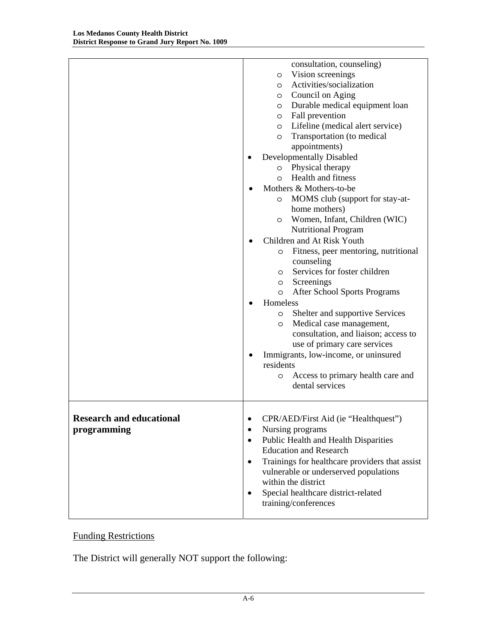|                                 | consultation, counseling)                                   |
|---------------------------------|-------------------------------------------------------------|
|                                 | Vision screenings<br>O                                      |
|                                 | Activities/socialization<br>$\circ$                         |
|                                 | Council on Aging<br>$\circ$                                 |
|                                 | Durable medical equipment loan<br>$\circ$                   |
|                                 | Fall prevention<br>$\circ$                                  |
|                                 | Lifeline (medical alert service)<br>$\circ$                 |
|                                 | Transportation (to medical<br>$\circ$                       |
|                                 | appointments)                                               |
|                                 | Developmentally Disabled                                    |
|                                 | Physical therapy<br>$\circ$                                 |
|                                 | <b>Health and fitness</b><br>$\circ$                        |
|                                 | Mothers & Mothers-to-be                                     |
|                                 | MOMS club (support for stay-at-<br>$\circ$                  |
|                                 | home mothers)                                               |
|                                 | Women, Infant, Children (WIC)<br>$\circ$                    |
|                                 | Nutritional Program                                         |
|                                 | Children and At Risk Youth                                  |
|                                 | Fitness, peer mentoring, nutritional<br>$\circ$             |
|                                 | counseling                                                  |
|                                 | Services for foster children<br>$\circ$                     |
|                                 | Screenings<br>$\circ$                                       |
|                                 | <b>After School Sports Programs</b><br>$\circ$              |
|                                 | Homeless                                                    |
|                                 | Shelter and supportive Services<br>O                        |
|                                 | Medical case management,<br>O                               |
|                                 | consultation, and liaison; access to                        |
|                                 | use of primary care services                                |
|                                 | Immigrants, low-income, or uninsured<br>٠                   |
|                                 | residents                                                   |
|                                 | Access to primary health care and<br>O                      |
|                                 | dental services                                             |
|                                 |                                                             |
| <b>Research and educational</b> | CPR/AED/First Aid (ie "Healthquest")                        |
| programming                     | Nursing programs<br>$\bullet$                               |
|                                 | Public Health and Health Disparities<br>٠                   |
|                                 | <b>Education and Research</b>                               |
|                                 | Trainings for healthcare providers that assist<br>$\bullet$ |
|                                 | vulnerable or underserved populations                       |
|                                 | within the district                                         |
|                                 | Special healthcare district-related<br>٠                    |
|                                 | training/conferences                                        |
|                                 |                                                             |

# Funding Restrictions

The District will generally NOT support the following: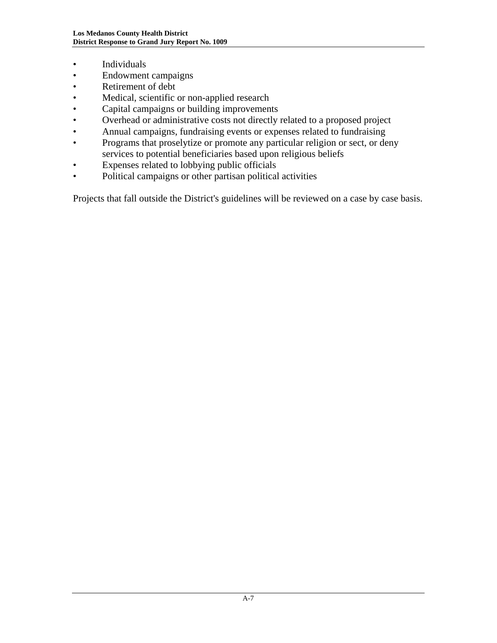- Individuals
- Endowment campaigns
- Retirement of debt
- Medical, scientific or non-applied research
- Capital campaigns or building improvements
- Overhead or administrative costs not directly related to a proposed project
- Annual campaigns, fundraising events or expenses related to fundraising
- Programs that proselytize or promote any particular religion or sect, or deny services to potential beneficiaries based upon religious beliefs
- Expenses related to lobbying public officials
- Political campaigns or other partisan political activities

Projects that fall outside the District's guidelines will be reviewed on a case by case basis.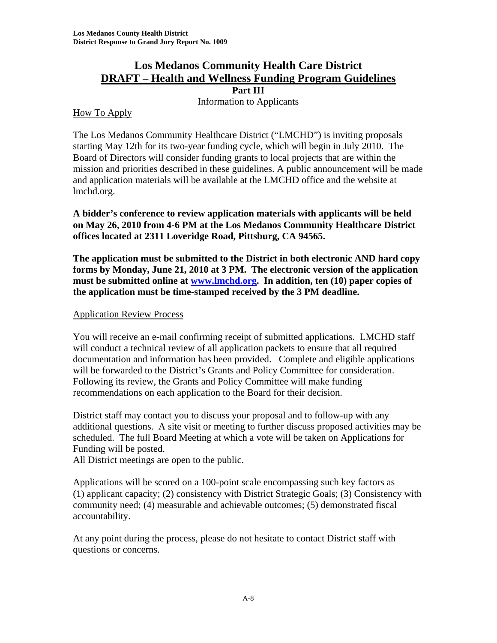# **Los Medanos Community Health Care District DRAFT – Health and Wellness Funding Program Guidelines**

**Part III** 

Information to Applicants

# How To Apply

The Los Medanos Community Healthcare District ("LMCHD") is inviting proposals starting May 12th for its two-year funding cycle, which will begin in July 2010. The Board of Directors will consider funding grants to local projects that are within the mission and priorities described in these guidelines. A public announcement will be made and application materials will be available at the LMCHD office and the website at lmchd.org.

**A bidder's conference to review application materials with applicants will be held on May 26, 2010 from 4-6 PM at the Los Medanos Community Healthcare District offices located at 2311 Loveridge Road, Pittsburg, CA 94565.** 

**The application must be submitted to the District in both electronic AND hard copy forms by Monday, June 21, 2010 at 3 PM. The electronic version of the application must be submitted online at www.lmchd.org. In addition, ten (10) paper copies of the application must be time-stamped received by the 3 PM deadline.**

# Application Review Process

You will receive an e-mail confirming receipt of submitted applications. LMCHD staff will conduct a technical review of all application packets to ensure that all required documentation and information has been provided. Complete and eligible applications will be forwarded to the District's Grants and Policy Committee for consideration. Following its review, the Grants and Policy Committee will make funding recommendations on each application to the Board for their decision.

District staff may contact you to discuss your proposal and to follow-up with any additional questions. A site visit or meeting to further discuss proposed activities may be scheduled. The full Board Meeting at which a vote will be taken on Applications for Funding will be posted.

All District meetings are open to the public.

Applications will be scored on a 100-point scale encompassing such key factors as (1) applicant capacity; (2) consistency with District Strategic Goals; (3) Consistency with community need; (4) measurable and achievable outcomes; (5) demonstrated fiscal accountability.

At any point during the process, please do not hesitate to contact District staff with questions or concerns.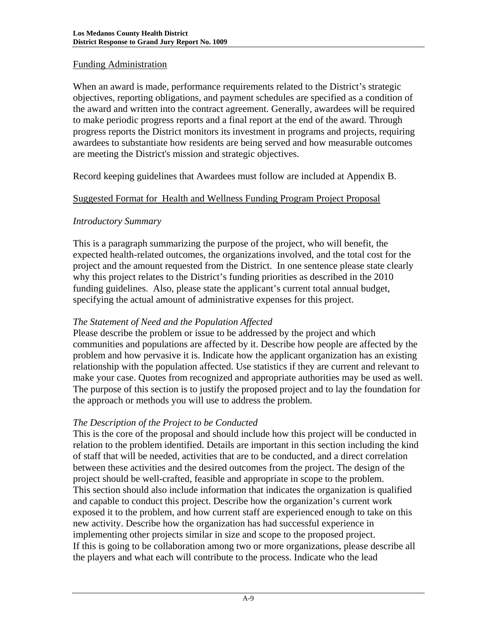# Funding Administration

When an award is made, performance requirements related to the District's strategic objectives, reporting obligations, and payment schedules are specified as a condition of the award and written into the contract agreement. Generally, awardees will be required to make periodic progress reports and a final report at the end of the award. Through progress reports the District monitors its investment in programs and projects, requiring awardees to substantiate how residents are being served and how measurable outcomes are meeting the District's mission and strategic objectives.

Record keeping guidelines that Awardees must follow are included at Appendix B.

# Suggested Format for Health and Wellness Funding Program Project Proposal

# *Introductory Summary*

This is a paragraph summarizing the purpose of the project, who will benefit, the expected health-related outcomes, the organizations involved, and the total cost for the project and the amount requested from the District. In one sentence please state clearly why this project relates to the District's funding priorities as described in the 2010 funding guidelines. Also, please state the applicant's current total annual budget, specifying the actual amount of administrative expenses for this project.

# *The Statement of Need and the Population Affected*

Please describe the problem or issue to be addressed by the project and which communities and populations are affected by it. Describe how people are affected by the problem and how pervasive it is. Indicate how the applicant organization has an existing relationship with the population affected. Use statistics if they are current and relevant to make your case. Quotes from recognized and appropriate authorities may be used as well. The purpose of this section is to justify the proposed project and to lay the foundation for the approach or methods you will use to address the problem.

# *The Description of the Project to be Conducted*

This is the core of the proposal and should include how this project will be conducted in relation to the problem identified. Details are important in this section including the kind of staff that will be needed, activities that are to be conducted, and a direct correlation between these activities and the desired outcomes from the project. The design of the project should be well-crafted, feasible and appropriate in scope to the problem. This section should also include information that indicates the organization is qualified and capable to conduct this project. Describe how the organization's current work exposed it to the problem, and how current staff are experienced enough to take on this new activity. Describe how the organization has had successful experience in implementing other projects similar in size and scope to the proposed project. If this is going to be collaboration among two or more organizations, please describe all the players and what each will contribute to the process. Indicate who the lead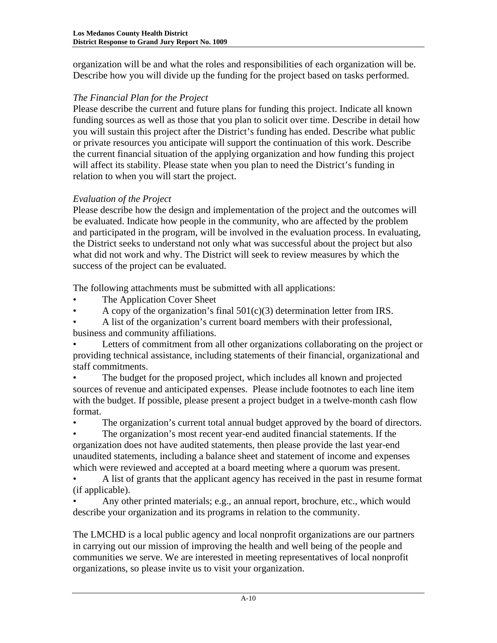organization will be and what the roles and responsibilities of each organization will be. Describe how you will divide up the funding for the project based on tasks performed.

# *The Financial Plan for the Project*

Please describe the current and future plans for funding this project. Indicate all known funding sources as well as those that you plan to solicit over time. Describe in detail how you will sustain this project after the District's funding has ended. Describe what public or private resources you anticipate will support the continuation of this work. Describe the current financial situation of the applying organization and how funding this project will affect its stability. Please state when you plan to need the District's funding in relation to when you will start the project.

# *Evaluation of the Project*

Please describe how the design and implementation of the project and the outcomes will be evaluated. Indicate how people in the community, who are affected by the problem and participated in the program, will be involved in the evaluation process. In evaluating, the District seeks to understand not only what was successful about the project but also what did not work and why. The District will seek to review measures by which the success of the project can be evaluated.

The following attachments must be submitted with all applications:

- The Application Cover Sheet
- A copy of the organization's final  $501(c)(3)$  determination letter from IRS.

• A list of the organization's current board members with their professional, business and community affiliations.

• Letters of commitment from all other organizations collaborating on the project or providing technical assistance, including statements of their financial, organizational and staff commitments.

• The budget for the proposed project, which includes all known and projected sources of revenue and anticipated expenses. Please include footnotes to each line item with the budget. If possible, please present a project budget in a twelve-month cash flow format.

• The organization's current total annual budget approved by the board of directors.

• The organization's most recent year-end audited financial statements. If the organization does not have audited statements, then please provide the last year-end unaudited statements, including a balance sheet and statement of income and expenses which were reviewed and accepted at a board meeting where a quorum was present.

• A list of grants that the applicant agency has received in the past in resume format (if applicable).

• Any other printed materials; e.g., an annual report, brochure, etc., which would describe your organization and its programs in relation to the community.

The LMCHD is a local public agency and local nonprofit organizations are our partners in carrying out our mission of improving the health and well being of the people and communities we serve. We are interested in meeting representatives of local nonprofit organizations, so please invite us to visit your organization.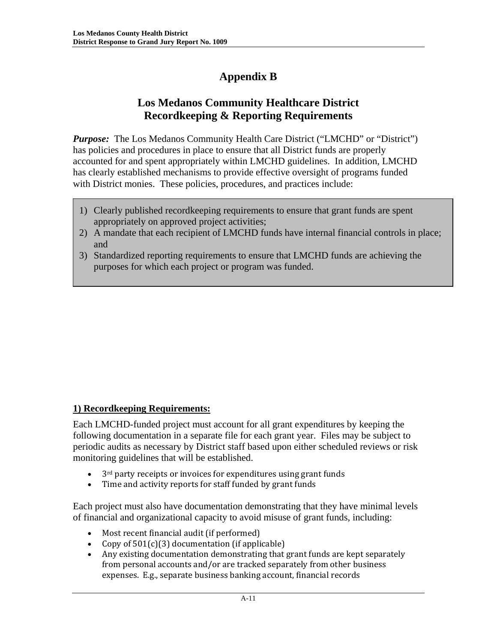# **Appendix B**

# **Los Medanos Community Healthcare District Recordkeeping & Reporting Requirements**

*Purpose:* The Los Medanos Community Health Care District ("LMCHD" or "District") has policies and procedures in place to ensure that all District funds are properly accounted for and spent appropriately within LMCHD guidelines. In addition, LMCHD has clearly established mechanisms to provide effective oversight of programs funded with District monies. These policies, procedures, and practices include:

- 1) Clearly published recordkeeping requirements to ensure that grant funds are spent appropriately on approved project activities;
- 2) A mandate that each recipient of LMCHD funds have internal financial controls in place; and
- 3) Standardized reporting requirements to ensure that LMCHD funds are achieving the purposes for which each project or program was funded.

# **1) Recordkeeping Requirements:**

Each LMCHD-funded project must account for all grant expenditures by keeping the following documentation in a separate file for each grant year. Files may be subject to periodic audits as necessary by District staff based upon either scheduled reviews or risk monitoring guidelines that will be established.

- 3<sup>rd</sup> party receipts or invoices for expenditures using grant funds
- Time and activity reports for staff funded by grant funds

Each project must also have documentation demonstrating that they have minimal levels of financial and organizational capacity to avoid misuse of grant funds, including:

- Most recent financial audit (if performed)
- Copy of 501(c)(3) documentation (if applicable)
- Any existing documentation demonstrating that grant funds are kept separately from personal accounts and/or are tracked separately from other business expenses. E.g., separate business banking account, financial records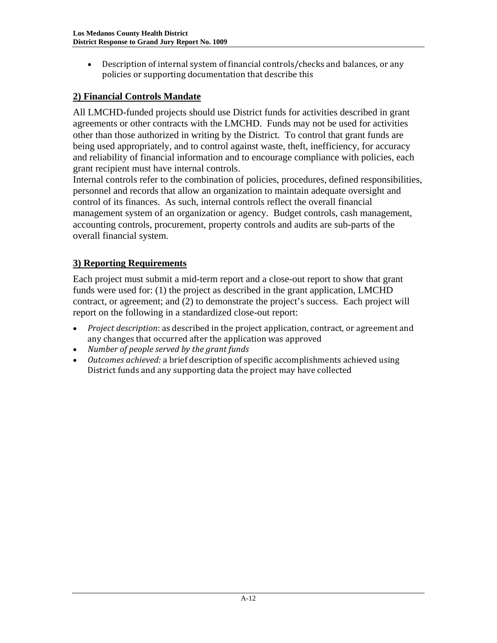• Description of internal system of financial controls/checks and balances, or any policies or supporting documentation that describe this

# **2) Financial Controls Mandate**

All LMCHD-funded projects should use District funds for activities described in grant agreements or other contracts with the LMCHD. Funds may not be used for activities other than those authorized in writing by the District. To control that grant funds are being used appropriately, and to control against waste, theft, inefficiency, for accuracy and reliability of financial information and to encourage compliance with policies, each grant recipient must have internal controls.

Internal controls refer to the combination of policies, procedures, defined responsibilities, personnel and records that allow an organization to maintain adequate oversight and control of its finances. As such, internal controls reflect the overall financial management system of an organization or agency. Budget controls, cash management, accounting controls, procurement, property controls and audits are sub-parts of the overall financial system.

# **3) Reporting Requirements**

Each project must submit a mid-term report and a close-out report to show that grant funds were used for: (1) the project as described in the grant application, LMCHD contract, or agreement; and (2) to demonstrate the project's success. Each project will report on the following in a standardized close-out report:

- *Project description*: as described in the project application, contract, or agreement and any changes that occurred after the application was approved
- *Number of people served by the grant funds*
- *Outcomes achieved:* a brief description of specific accomplishments achieved using District funds and any supporting data the project may have collected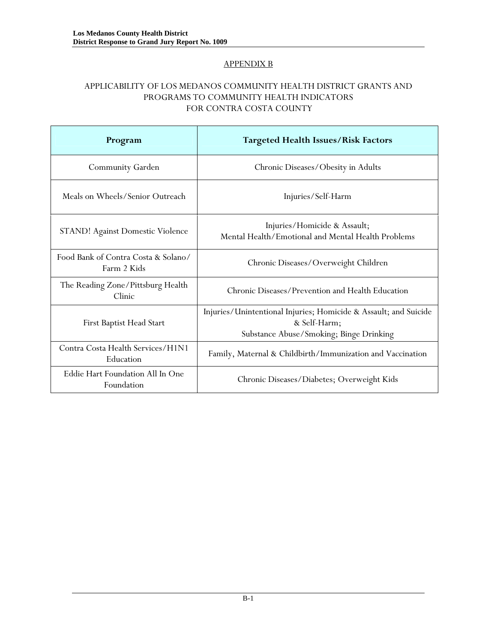### APPENDIX B

### APPLICABILITY OF LOS MEDANOS COMMUNITY HEALTH DISTRICT GRANTS AND PROGRAMS TO COMMUNITY HEALTH INDICATORS FOR CONTRA COSTA COUNTY

| Program                                            | <b>Targeted Health Issues/Risk Factors</b>                                                                                  |  |
|----------------------------------------------------|-----------------------------------------------------------------------------------------------------------------------------|--|
| Community Garden                                   | Chronic Diseases/Obesity in Adults                                                                                          |  |
| Meals on Wheels/Senior Outreach                    | Injuries/Self-Harm                                                                                                          |  |
| <b>STAND!</b> Against Domestic Violence            | Injuries/Homicide & Assault;<br>Mental Health/Emotional and Mental Health Problems                                          |  |
| Food Bank of Contra Costa & Solano/<br>Farm 2 Kids | Chronic Diseases/Overweight Children                                                                                        |  |
| The Reading Zone/Pittsburg Health<br>Clinic        | Chronic Diseases/Prevention and Health Education                                                                            |  |
| First Baptist Head Start                           | Injuries/Unintentional Injuries; Homicide & Assault; and Suicide<br>& Self-Harm;<br>Substance Abuse/Smoking; Binge Drinking |  |
| Contra Costa Health Services/H1N1<br>Education     | Family, Maternal & Childbirth/Immunization and Vaccination                                                                  |  |
| Eddie Hart Foundation All In One<br>Foundation     | Chronic Diseases/Diabetes; Overweight Kids                                                                                  |  |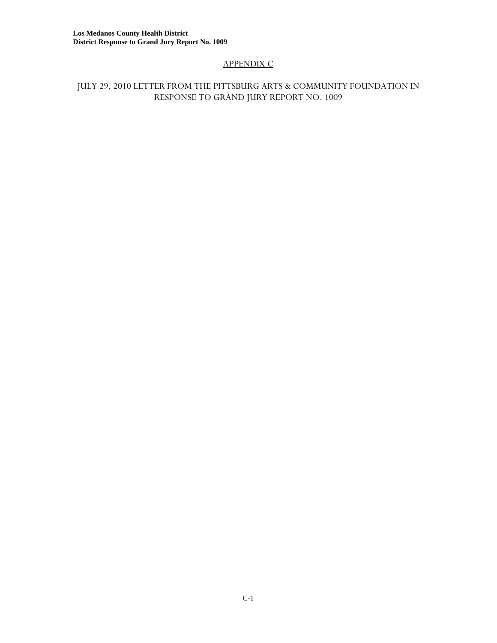# APPENDIX C

### JULY 29, 2010 LETTER FROM THE PITTSBURG ARTS & COMMUNITY FOUNDATION IN RESPONSE TO GRAND JURY REPORT NO. 1009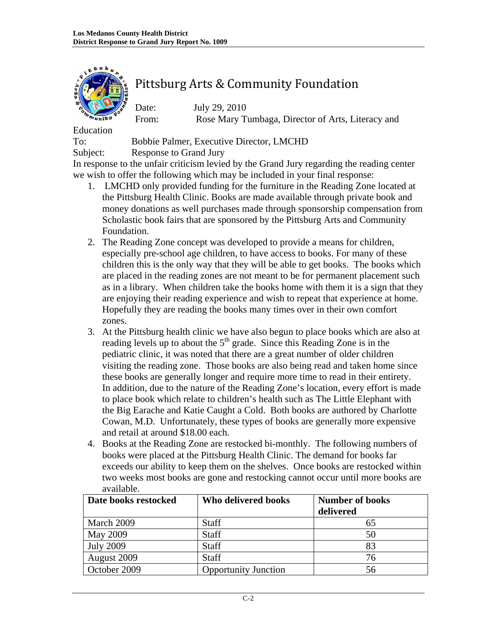

# Pittsburg Arts & Community Foundation

Date: July 29, 2010 From: Rose Mary Tumbaga, Director of Arts, Literacy and

Education

To: Bobbie Palmer, Executive Director, LMCHD

Subject: Response to Grand Jury

In response to the unfair criticism levied by the Grand Jury regarding the reading center we wish to offer the following which may be included in your final response:

- 1. LMCHD only provided funding for the furniture in the Reading Zone located at the Pittsburg Health Clinic. Books are made available through private book and money donations as well purchases made through sponsorship compensation from Scholastic book fairs that are sponsored by the Pittsburg Arts and Community Foundation.
- 2. The Reading Zone concept was developed to provide a means for children, especially pre-school age children, to have access to books. For many of these children this is the only way that they will be able to get books. The books which are placed in the reading zones are not meant to be for permanent placement such as in a library. When children take the books home with them it is a sign that they are enjoying their reading experience and wish to repeat that experience at home. Hopefully they are reading the books many times over in their own comfort zones.
- 3. At the Pittsburg health clinic we have also begun to place books which are also at reading levels up to about the  $5<sup>th</sup>$  grade. Since this Reading Zone is in the pediatric clinic, it was noted that there are a great number of older children visiting the reading zone. Those books are also being read and taken home since these books are generally longer and require more time to read in their entirety. In addition, due to the nature of the Reading Zone's location, every effort is made to place book which relate to children's health such as The Little Elephant with the Big Earache and Katie Caught a Cold. Both books are authored by Charlotte Cowan, M.D. Unfortunately, these types of books are generally more expensive and retail at around \$18.00 each.
- 4. Books at the Reading Zone are restocked bi-monthly. The following numbers of books were placed at the Pittsburg Health Clinic. The demand for books far exceeds our ability to keep them on the shelves. Once books are restocked within two weeks most books are gone and restocking cannot occur until more books are available.

| Date books restocked | Who delivered books         | <b>Number of books</b> |  |
|----------------------|-----------------------------|------------------------|--|
|                      |                             | delivered              |  |
| March 2009           | <b>Staff</b>                | 65                     |  |
| May 2009             | Staff                       | 50                     |  |
| <b>July 2009</b>     | Staff                       | 83                     |  |
| August 2009          | <b>Staff</b>                | 76                     |  |
| October 2009         | <b>Opportunity Junction</b> | 56                     |  |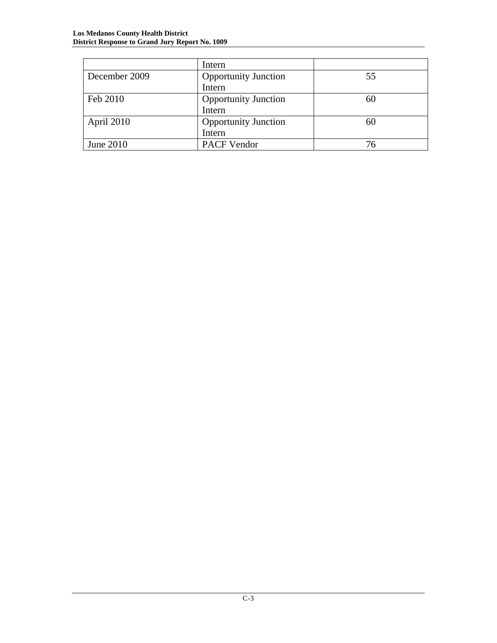|               | Intern                      |    |
|---------------|-----------------------------|----|
| December 2009 | <b>Opportunity Junction</b> | 55 |
|               | Intern                      |    |
| Feb 2010      | <b>Opportunity Junction</b> | 60 |
|               | Intern                      |    |
| April 2010    | <b>Opportunity Junction</b> | 60 |
|               | Intern                      |    |
| June 2010     | <b>PACF Vendor</b>          | 76 |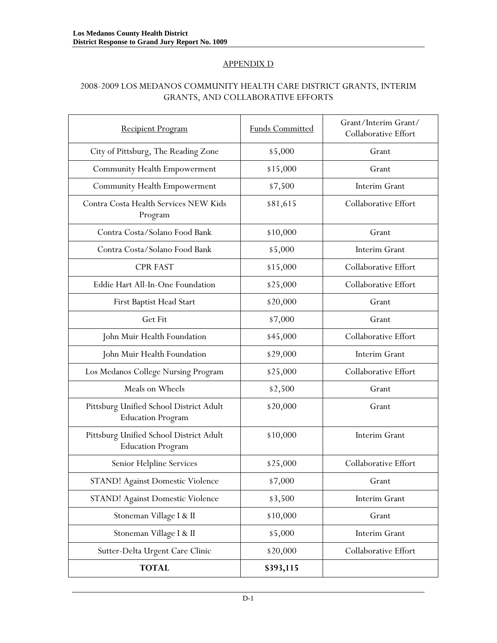### APPENDIX D

### 2008-2009 LOS MEDANOS COMMUNITY HEALTH CARE DISTRICT GRANTS, INTERIM GRANTS, AND COLLABORATIVE EFFORTS

| <b>Recipient Program</b>                                            | <b>Funds Committed</b> | Grant/Interim Grant/<br>Collaborative Effort |
|---------------------------------------------------------------------|------------------------|----------------------------------------------|
| City of Pittsburg, The Reading Zone                                 | \$5,000                | Grant                                        |
| <b>Community Health Empowerment</b>                                 | \$15,000               | Grant                                        |
| <b>Community Health Empowerment</b>                                 | \$7,500                | Interim Grant                                |
| Contra Costa Health Services NEW Kids<br>Program                    | \$81,615               | Collaborative Effort                         |
| Contra Costa/Solano Food Bank                                       | \$10,000               | Grant                                        |
| Contra Costa/Solano Food Bank                                       | \$5,000                | Interim Grant                                |
| <b>CPR FAST</b>                                                     | \$15,000               | Collaborative Effort                         |
| Eddie Hart All-In-One Foundation                                    | \$25,000               | Collaborative Effort                         |
| First Baptist Head Start                                            | \$20,000               | Grant                                        |
| Get Fit                                                             | \$7,000                | Grant                                        |
| John Muir Health Foundation                                         | \$45,000               | Collaborative Effort                         |
| John Muir Health Foundation                                         | \$29,000               | Interim Grant                                |
| Los Medanos College Nursing Program                                 | \$25,000               | Collaborative Effort                         |
| Meals on Wheels                                                     | \$2,500                | Grant                                        |
| Pittsburg Unified School District Adult<br><b>Education Program</b> | \$20,000               | Grant                                        |
| Pittsburg Unified School District Adult<br><b>Education Program</b> | \$10,000               | Interim Grant                                |
| Senior Helpline Services                                            | \$25,000               | Collaborative Effort                         |
| STAND! Against Domestic Violence                                    | \$7,000                | Grant                                        |
| STAND! Against Domestic Violence                                    | \$3,500                | Interim Grant                                |
| Stoneman Village I & II                                             | \$10,000               | Grant                                        |
| Stoneman Village I & II                                             | \$5,000                | Interim Grant                                |
| Sutter-Delta Urgent Care Clinic                                     | \$20,000               | Collaborative Effort                         |
| <b>TOTAL</b>                                                        | \$393,115              |                                              |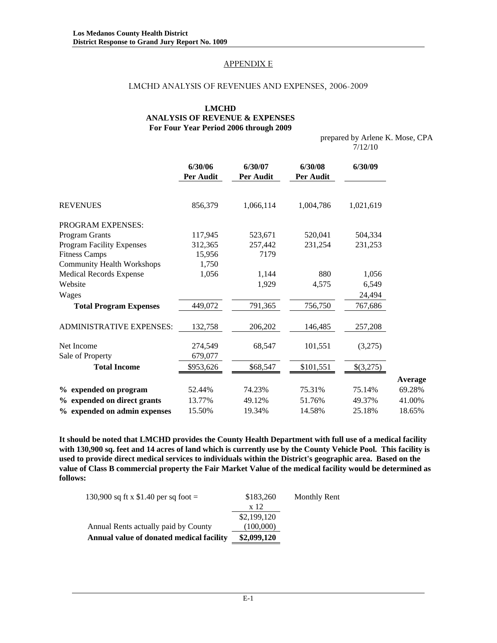### APPENDIX E

### LMCHD ANALYSIS OF REVENUES AND EXPENSES, 2006-2009

### **LMCHD ANALYSIS OF REVENUE & EXPENSES For Four Year Period 2006 through 2009**

 prepared by Arlene K. Mose, CPA 7/12/10

|                                   | 6/30/06<br>Per Audit | 6/30/07<br>Per Audit | 6/30/08<br>Per Audit | 6/30/09   |         |
|-----------------------------------|----------------------|----------------------|----------------------|-----------|---------|
| <b>REVENUES</b>                   | 856,379              | 1,066,114            | 1,004,786            | 1,021,619 |         |
| <b>PROGRAM EXPENSES:</b>          |                      |                      |                      |           |         |
| Program Grants                    | 117,945              | 523,671              | 520,041              | 504,334   |         |
| <b>Program Facility Expenses</b>  | 312,365              | 257,442              | 231,254              | 231,253   |         |
| <b>Fitness Camps</b>              | 15,956               | 7179                 |                      |           |         |
| <b>Community Health Workshops</b> | 1,750                |                      |                      |           |         |
| <b>Medical Records Expense</b>    | 1,056                | 1,144                | 880                  | 1,056     |         |
| Website                           |                      | 1,929                | 4,575                | 6,549     |         |
| Wages                             |                      |                      |                      | 24,494    |         |
| <b>Total Program Expenses</b>     | 449,072              | 791,365              | 756,750              | 767,686   |         |
| <b>ADMINISTRATIVE EXPENSES:</b>   | 132,758              | 206,202              | 146,485              | 257,208   |         |
| Net Income                        | 274,549              | 68,547               | 101,551              | (3,275)   |         |
| Sale of Property                  | 679,077              |                      |                      |           |         |
| <b>Total Income</b>               | \$953,626            | \$68,547             | \$101,551            | \$(3,275) |         |
|                                   |                      |                      |                      |           | Average |
| % expended on program             | 52.44%               | 74.23%               | 75.31%               | 75.14%    | 69.28%  |
| % expended on direct grants       | 13.77%               | 49.12%               | 51.76%               | 49.37%    | 41.00%  |
| % expended on admin expenses      | 15.50%               | 19.34%               | 14.58%               | 25.18%    | 18.65%  |

**It should be noted that LMCHD provides the County Health Department with full use of a medical facility with 130,900 sq. feet and 14 acres of land which is currently use by the County Vehicle Pool. This facility is used to provide direct medical services to individuals within the District's geographic area. Based on the value of Class B commercial property the Fair Market Value of the medical facility would be determined as follows:** 

| 130,900 sq ft x \$1.40 per sq foot =     | \$183,260   | Monthly Rent |
|------------------------------------------|-------------|--------------|
|                                          | x 12        |              |
|                                          | \$2,199,120 |              |
| Annual Rents actually paid by County     | (100,000)   |              |
| Annual value of donated medical facility | \$2,099,120 |              |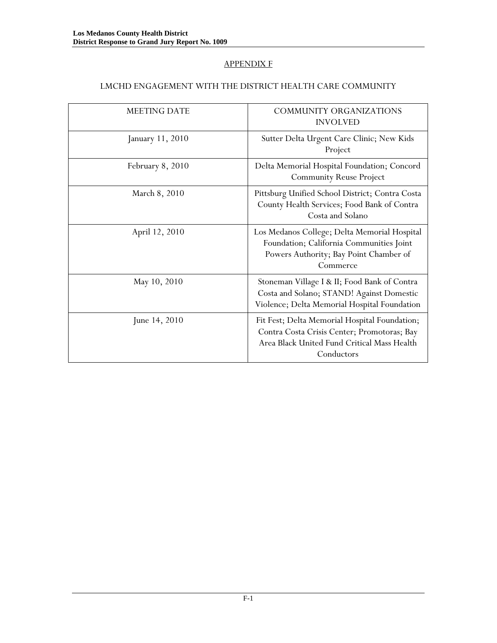### APPENDIX F

### LMCHD ENGAGEMENT WITH THE DISTRICT HEALTH CARE COMMUNITY

| <b>MEETING DATE</b> | <b>COMMUNITY ORGANIZATIONS</b><br><b>INVOLVED</b>                                                                                                         |
|---------------------|-----------------------------------------------------------------------------------------------------------------------------------------------------------|
| January 11, 2010    | Sutter Delta Urgent Care Clinic; New Kids<br>Project                                                                                                      |
| February 8, 2010    | Delta Memorial Hospital Foundation; Concord<br><b>Community Reuse Project</b>                                                                             |
| March 8, 2010       | Pittsburg Unified School District; Contra Costa<br>County Health Services; Food Bank of Contra<br>Costa and Solano                                        |
| April 12, 2010      | Los Medanos College; Delta Memorial Hospital<br>Foundation; California Communities Joint<br>Powers Authority; Bay Point Chamber of<br>Commerce            |
| May 10, 2010        | Stoneman Village I & II; Food Bank of Contra<br>Costa and Solano; STAND! Against Domestic<br>Violence; Delta Memorial Hospital Foundation                 |
| June 14, 2010       | Fit Fest; Delta Memorial Hospital Foundation;<br>Contra Costa Crisis Center; Promotoras; Bay<br>Area Black United Fund Critical Mass Health<br>Conductors |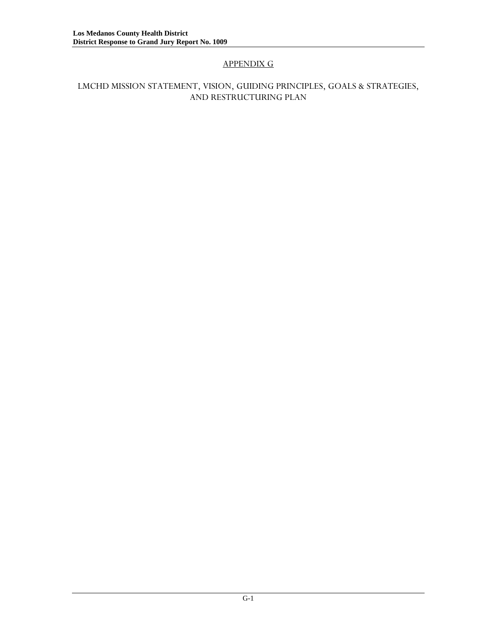# APPENDIX G

### LMCHD MISSION STATEMENT, VISION, GUIDING PRINCIPLES, GOALS & STRATEGIES, AND RESTRUCTURING PLAN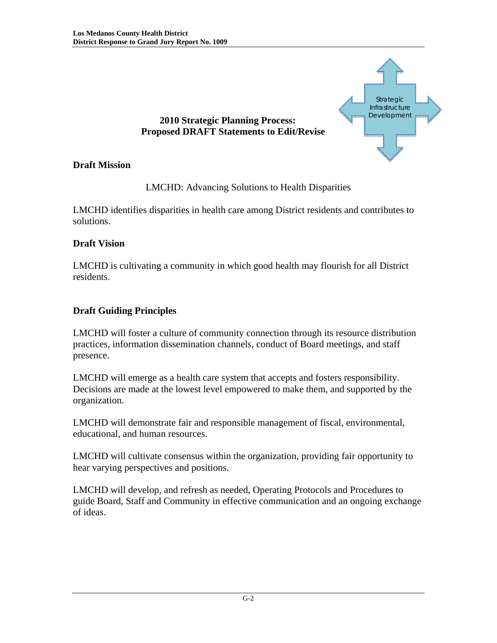

# LMCHD: Advancing Solutions to Health Disparities

LMCHD identifies disparities in health care among District residents and contributes to solutions.

# **Draft Vision**

**Draft Mission** 

LMCHD is cultivating a community in which good health may flourish for all District residents.

# **Draft Guiding Principles**

LMCHD will foster a culture of community connection through its resource distribution practices, information dissemination channels, conduct of Board meetings, and staff presence.

LMCHD will emerge as a health care system that accepts and fosters responsibility. Decisions are made at the lowest level empowered to make them, and supported by the organization.

LMCHD will demonstrate fair and responsible management of fiscal, environmental, educational, and human resources.

LMCHD will cultivate consensus within the organization, providing fair opportunity to hear varying perspectives and positions.

LMCHD will develop, and refresh as needed, Operating Protocols and Procedures to guide Board, Staff and Community in effective communication and an ongoing exchange of ideas.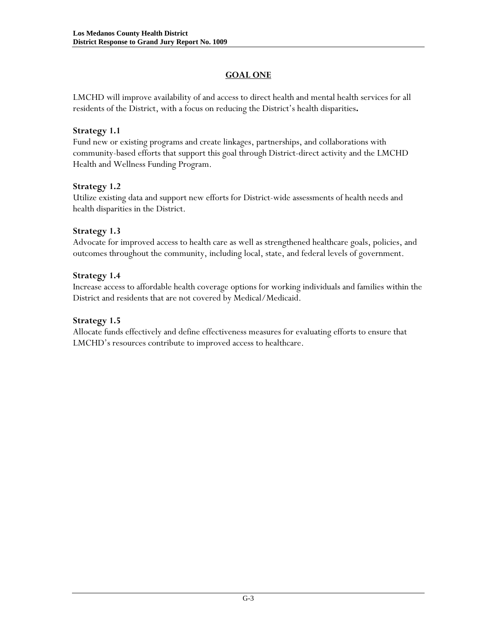# **GOAL ONE**

LMCHD will improve availability of and access to direct health and mental health services for all residents of the District, with a focus on reducing the District's health disparities**.** 

### **Strategy 1.1**

Fund new or existing programs and create linkages, partnerships, and collaborations with community-based efforts that support this goal through District-direct activity and the LMCHD Health and Wellness Funding Program.

### **Strategy 1.2**

Utilize existing data and support new efforts for District-wide assessments of health needs and health disparities in the District.

### **Strategy 1.3**

Advocate for improved access to health care as well as strengthened healthcare goals, policies, and outcomes throughout the community, including local, state, and federal levels of government.

### **Strategy 1.4**

Increase access to affordable health coverage options for working individuals and families within the District and residents that are not covered by Medical/Medicaid.

### **Strategy 1.5**

Allocate funds effectively and define effectiveness measures for evaluating efforts to ensure that LMCHD's resources contribute to improved access to healthcare.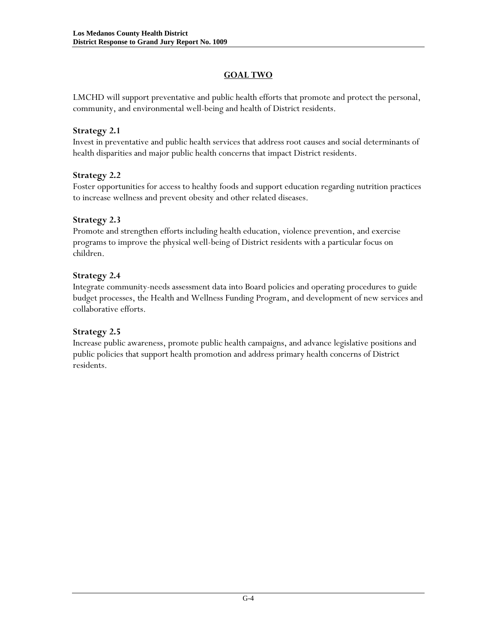# **GOAL TWO**

LMCHD will support preventative and public health efforts that promote and protect the personal, community, and environmental well-being and health of District residents.

### **Strategy 2.1**

Invest in preventative and public health services that address root causes and social determinants of health disparities and major public health concerns that impact District residents.

# **Strategy 2.2**

Foster opportunities for access to healthy foods and support education regarding nutrition practices to increase wellness and prevent obesity and other related diseases.

# **Strategy 2.3**

Promote and strengthen efforts including health education, violence prevention, and exercise programs to improve the physical well-being of District residents with a particular focus on children.

# **Strategy 2.4**

Integrate community-needs assessment data into Board policies and operating procedures to guide budget processes, the Health and Wellness Funding Program, and development of new services and collaborative efforts.

# **Strategy 2.5**

Increase public awareness, promote public health campaigns, and advance legislative positions and public policies that support health promotion and address primary health concerns of District residents.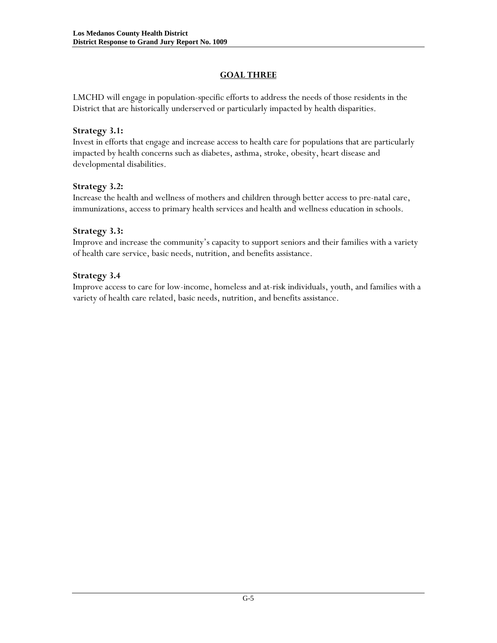# **GOAL THREE**

LMCHD will engage in population-specific efforts to address the needs of those residents in the District that are historically underserved or particularly impacted by health disparities.

### **Strategy 3.1:**

Invest in efforts that engage and increase access to health care for populations that are particularly impacted by health concerns such as diabetes, asthma, stroke, obesity, heart disease and developmental disabilities.

### **Strategy 3.2:**

Increase the health and wellness of mothers and children through better access to pre-natal care, immunizations, access to primary health services and health and wellness education in schools.

### **Strategy 3.3:**

Improve and increase the community's capacity to support seniors and their families with a variety of health care service, basic needs, nutrition, and benefits assistance.

### **Strategy 3.4**

Improve access to care for low-income, homeless and at-risk individuals, youth, and families with a variety of health care related, basic needs, nutrition, and benefits assistance.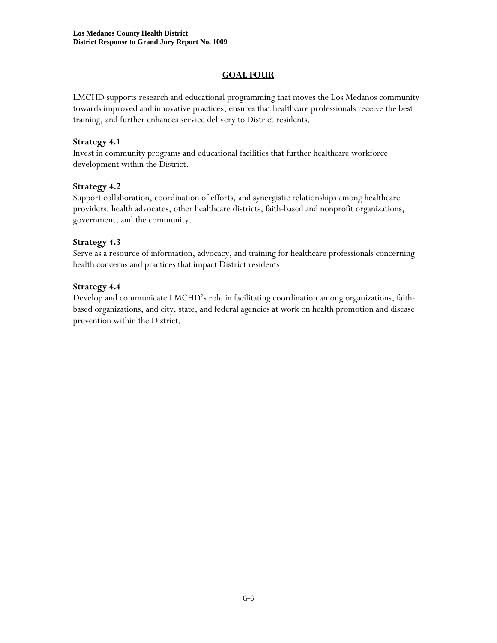# **GOAL FOUR**

LMCHD supports research and educational programming that moves the Los Medanos community towards improved and innovative practices, ensures that healthcare professionals receive the best training, and further enhances service delivery to District residents.

### **Strategy 4.1**

Invest in community programs and educational facilities that further healthcare workforce development within the District.

### **Strategy 4.2**

Support collaboration, coordination of efforts, and synergistic relationships among healthcare providers, health advocates, other healthcare districts, faith-based and nonprofit organizations, government, and the community.

### **Strategy 4.3**

Serve as a resource of information, advocacy, and training for healthcare professionals concerning health concerns and practices that impact District residents.

### **Strategy 4.4**

Develop and communicate LMCHD's role in facilitating coordination among organizations, faithbased organizations, and city, state, and federal agencies at work on health promotion and disease prevention within the District.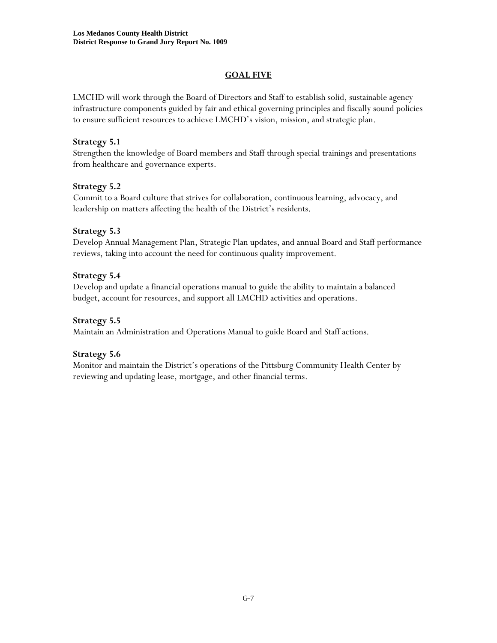# **GOAL FIVE**

LMCHD will work through the Board of Directors and Staff to establish solid, sustainable agency infrastructure components guided by fair and ethical governing principles and fiscally sound policies to ensure sufficient resources to achieve LMCHD's vision, mission, and strategic plan.

### **Strategy 5.1**

Strengthen the knowledge of Board members and Staff through special trainings and presentations from healthcare and governance experts.

### **Strategy 5.2**

Commit to a Board culture that strives for collaboration, continuous learning, advocacy, and leadership on matters affecting the health of the District's residents.

### **Strategy 5.3**

Develop Annual Management Plan, Strategic Plan updates, and annual Board and Staff performance reviews, taking into account the need for continuous quality improvement.

### **Strategy 5.4**

Develop and update a financial operations manual to guide the ability to maintain a balanced budget, account for resources, and support all LMCHD activities and operations.

### **Strategy 5.5**

Maintain an Administration and Operations Manual to guide Board and Staff actions.

### **Strategy 5.6**

Monitor and maintain the District's operations of the Pittsburg Community Health Center by reviewing and updating lease, mortgage, and other financial terms.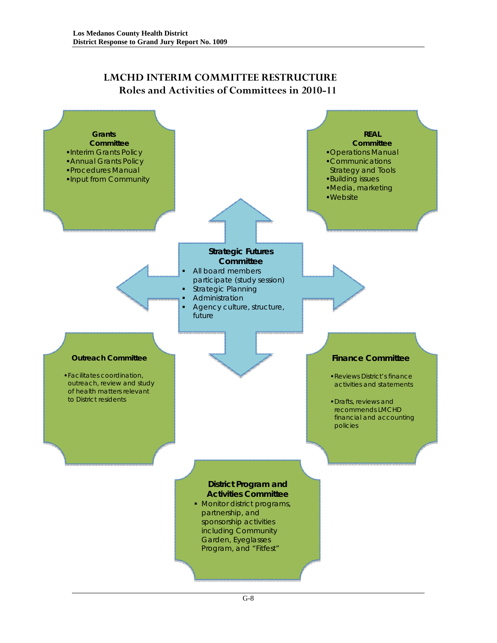# **LMCHD INTERIM COMMITTEE RESTRUCTURE Roles and Activities of Committees in 2010-11**

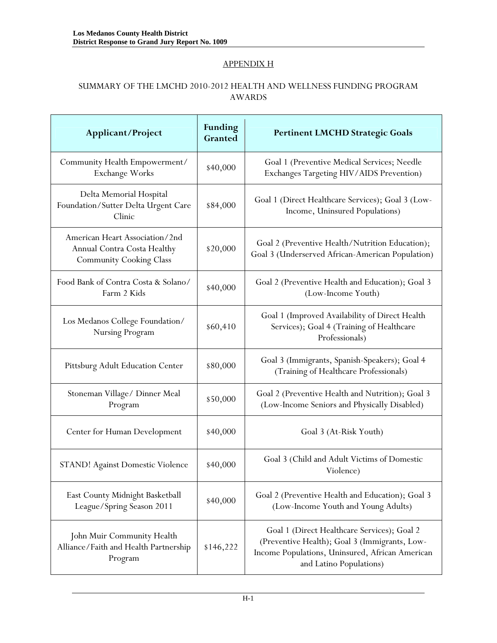# APPENDIX H

### SUMMARY OF THE LMCHD 2010-2012 HEALTH AND WELLNESS FUNDING PROGRAM AWARDS

| Applicant/Project                                                                               | <b>Funding</b><br>Granted | <b>Pertinent LMCHD Strategic Goals</b>                                                                                                                                     |
|-------------------------------------------------------------------------------------------------|---------------------------|----------------------------------------------------------------------------------------------------------------------------------------------------------------------------|
| Community Health Empowerment/<br>Exchange Works                                                 | \$40,000                  | Goal 1 (Preventive Medical Services; Needle<br>Exchanges Targeting HIV/AIDS Prevention)                                                                                    |
| Delta Memorial Hospital<br>Foundation/Sutter Delta Urgent Care<br>Clinic                        | \$84,000                  | Goal 1 (Direct Healthcare Services); Goal 3 (Low-<br>Income, Uninsured Populations)                                                                                        |
| American Heart Association/2nd<br>Annual Contra Costa Healthy<br><b>Community Cooking Class</b> | \$20,000                  | Goal 2 (Preventive Health/Nutrition Education);<br>Goal 3 (Underserved African-American Population)                                                                        |
| Food Bank of Contra Costa & Solano/<br>Farm 2 Kids                                              | \$40,000                  | Goal 2 (Preventive Health and Education); Goal 3<br>(Low-Income Youth)                                                                                                     |
| Los Medanos College Foundation/<br>Nursing Program                                              | \$60,410                  | Goal 1 (Improved Availability of Direct Health<br>Services); Goal 4 (Training of Healthcare<br>Professionals)                                                              |
| Pittsburg Adult Education Center                                                                | \$80,000                  | Goal 3 (Immigrants, Spanish-Speakers); Goal 4<br>(Training of Healthcare Professionals)                                                                                    |
| Stoneman Village/ Dinner Meal<br>Program                                                        | \$50,000                  | Goal 2 (Preventive Health and Nutrition); Goal 3<br>(Low-Income Seniors and Physically Disabled)                                                                           |
| Center for Human Development                                                                    | \$40,000                  | Goal 3 (At-Risk Youth)                                                                                                                                                     |
| <b>STAND!</b> Against Domestic Violence                                                         | \$40,000                  | Goal 3 (Child and Adult Victims of Domestic<br>Violence)                                                                                                                   |
| East County Midnight Basketball<br>League/Spring Season 2011                                    | \$40,000                  | Goal 2 (Preventive Health and Education); Goal 3<br>(Low-Income Youth and Young Adults)                                                                                    |
| John Muir Community Health<br>Alliance/Faith and Health Partnership<br>Program                  | \$146,222                 | Goal 1 (Direct Healthcare Services); Goal 2<br>(Preventive Health); Goal 3 (Immigrants, Low-<br>Income Populations, Uninsured, African American<br>and Latino Populations) |